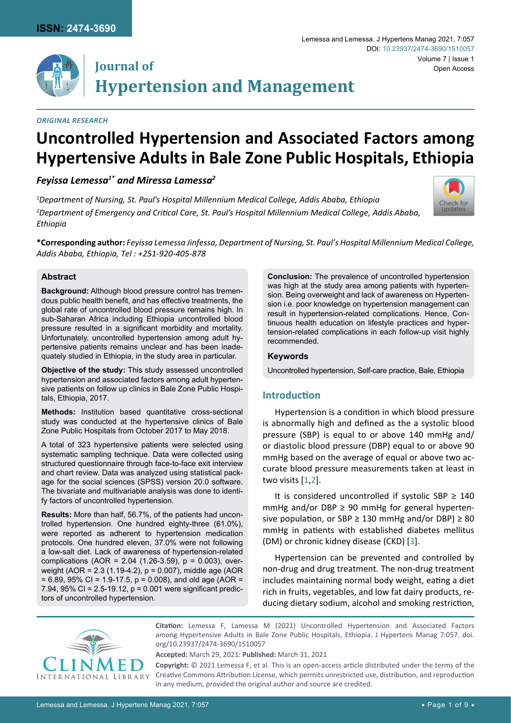

# **Journal of Hypertension and Management**

#### *Original Research*

# **Uncontrolled Hypertension and Associated Factors among Hypertensive Adults in Bale Zone Public Hospitals, Ethiopia**

# *Feyissa Lemessa1\* and Miressa Lamessa2*

*1 Department of Nursing, St. Paul's Hospital Millennium Medical College, Addis Ababa, Ethiopia 2 Department of Emergency and Critical Care, St. Paul's Hospital Millennium Medical College, Addis Ababa, Ethiopia*



**\*Corresponding author:** *Feyissa Lemessa Jinfessa, Department of Nursing, St. Paul's Hospital Millennium Medical College, Addis Ababa, Ethiopia, Tel : +251-920-405-878*

## **Abstract**

**Background:** Although blood pressure control has tremendous public health benefit, and has effective treatments, the global rate of uncontrolled blood pressure remains high. In sub-Saharan Africa including Ethiopia uncontrolled blood pressure resulted in a significant morbidity and mortality. Unfortunately, uncontrolled hypertension among adult hypertensive patients remains unclear and has been inadequately studied in Ethiopia, in the study area in particular.

**Objective of the study:** This study assessed uncontrolled hypertension and associated factors among adult hypertensive patients on follow up clinics in Bale Zone Public Hospitals, Ethiopia, 2017.

**Methods:** Institution based quantitative cross-sectional study was conducted at the hypertensive clinics of Bale Zone Public Hospitals from October 2017 to May 2018.

A total of 323 hypertensive patients were selected using systematic sampling technique. Data were collected using structured questionnaire through face-to-face exit interview and chart review. Data was analyzed using statistical package for the social sciences (SPSS) version 20.0 software. The bivariate and multivariable analysis was done to identify factors of uncontrolled hypertension.

**Results:** More than half, 56.7%, of the patients had uncontrolled hypertension. One hundred eighty-three (61.0%), were reported as adherent to hypertension medication protocols. One hundred eleven, 37.0% were not following a low-salt diet. Lack of awareness of hypertension-related complications (AOR = 2.04 (1.26-3.59), p = 0.003), overweight (AOR = 2.3 (1.19-4.2), p = 0.007), middle age (AOR  $= 6.89$ , 95% CI = 1.9-17.5, p = 0.008), and old age (AOR = 7.94, 95% CI = 2.5-19.12, p = 0.001 were significant predictors of uncontrolled hypertension.

**Conclusion:** The prevalence of uncontrolled hypertension was high at the study area among patients with hypertension. Being overweight and lack of awareness on Hypertension i.e. poor knowledge on hypertension management can result in hypertension-related complications. Hence, Continuous health education on lifestyle practices and hypertension-related complications in each follow-up visit highly recommended.

## **Keywords**

Uncontrolled hypertension, Self-care practice, Bale, Ethiopia

## **Introduction**

Hypertension is a condition in which blood pressure is abnormally high and defined as the a systolic blood pressure (SBP) is equal to or above 140 mmHg and/ or diastolic blood pressure (DBP) equal to or above 90 mmHg based on the average of equal or above two accurate blood pressure measurements taken at least in two visits [[1](#page-7-0)[,2](#page-7-1)].

It is considered uncontrolled if systolic SBP  $\geq$  140 mmHg and/or DBP  $\geq$  90 mmHg for general hypertensive population, or SBP  $\geq$  130 mmHg and/or DBP)  $\geq$  80 mmHg in patients with established diabetes mellitus (DM) or chronic kidney disease (CKD) [[3](#page-7-2)].

Hypertension can be prevented and controlled by non-drug and drug treatment. The non-drug treatment includes maintaining normal body weight, eating a diet rich in fruits, vegetables, and low fat dairy products, reducing dietary sodium, alcohol and smoking restriction,



**Citation:** Lemessa F, Lamessa M (2021) Uncontrolled Hypertension and Associated Factors among Hypertensive Adults in Bale Zone Public Hospitals, Ethiopia. J Hypertens Manag 7:057. [doi.](https://doi.org/10.23937/2474-3690/1510057) [org/10.23937/2474-3690/1510057](https://doi.org/10.23937/2474-3690/1510057)

**Accepted:** March 29, 2021: **Published:** March 31, 2021

**Copyright:** © 2021 Lemessa F, et al. This is an open-access article distributed under the terms of the Creative Commons Attribution License, which permits unrestricted use, distribution, and reproduction in any medium, provided the original author and source are credited.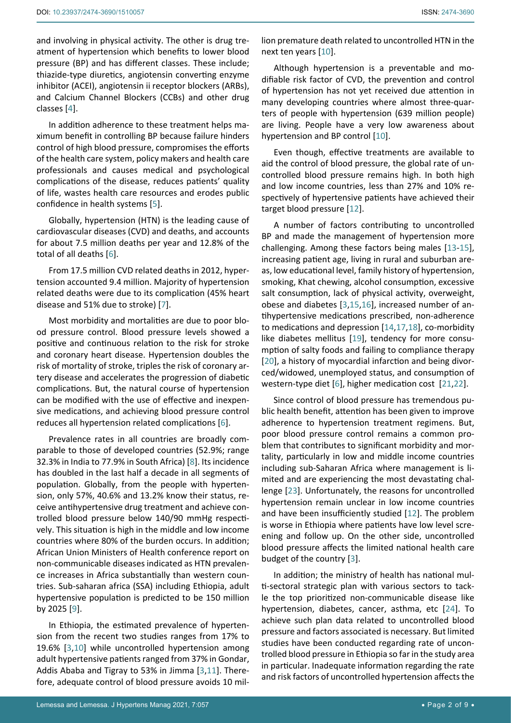and involving in physical activity. The other is drug treatment of hypertension which benefits to lower blood pressure (BP) and has different classes. These include; thiazide-type diuretics, angiotensin converting enzyme inhibitor (ACEI), angiotensin ii receptor blockers (ARBs), and Calcium Channel Blockers (CCBs) and other drug classes [[4\]](#page-7-3).

In addition adherence to these treatment helps maximum benefit in controlling BP because failure hinders control of high blood pressure, compromises the efforts of the health care system, policy makers and health care professionals and causes medical and psychological complications of the disease, reduces patients' quality of life, wastes health care resources and erodes public confidence in health systems [[5](#page-7-4)].

Globally, hypertension (HTN) is the leading cause of cardiovascular diseases (CVD) and deaths, and accounts for about 7.5 million deaths per year and 12.8% of the total of all deaths [[6](#page-7-5)].

From 17.5 million CVD related deaths in 2012, hypertension accounted 9.4 million. Majority of hypertension related deaths were due to its complication (45% heart disease and 51% due to stroke) [[7](#page-7-6)].

Most morbidity and mortalities are due to poor blood pressure control. Blood pressure levels showed a positive and continuous relation to the risk for stroke and coronary heart disease. Hypertension doubles the risk of mortality of stroke, triples the risk of coronary artery disease and accelerates the progression of diabetic complications. But, the natural course of hypertension can be modified with the use of effective and inexpensive medications, and achieving blood pressure control reduces all hypertension related complications [[6\]](#page-7-5).

Prevalence rates in all countries are broadly comparable to those of developed countries (52.9%; range 32.3% in India to 77.9% in South Africa) [\[8](#page-7-7)]. Its incidence has doubled in the last half a decade in all segments of population. Globally, from the people with hypertension, only 57%, 40.6% and 13.2% know their status, receive antihypertensive drug treatment and achieve controlled blood pressure below 140/90 mmHg respectively. This situation is high in the middle and low income countries where 80% of the burden occurs. In addition; African Union Ministers of Health conference report on non-communicable diseases indicated as HTN prevalence increases in Africa substantially than western countries. Sub-saharan africa (SSA) including Ethiopia, adult hypertensive population is predicted to be 150 million by 2025 [[9\]](#page-7-8).

In Ethiopia, the estimated prevalence of hypertension from the recent two studies ranges from 17% to 19.6% [[3](#page-7-2)[,10](#page-7-9)] while uncontrolled hypertension among adult hypertensive patients ranged from 37% in Gondar, Addis Ababa and Tigray to 53% in Jimma [[3](#page-7-2)[,11](#page-7-10)]. Therefore, adequate control of blood pressure avoids 10 mil-

Although hypertension is a preventable and modifiable risk factor of CVD, the prevention and control of hypertension has not yet received due attention in many developing countries where almost three-quarters of people with hypertension (639 million people) are living. People have a very low awareness about hypertension and BP control [[10](#page-7-9)].

Even though, effective treatments are available to aid the control of blood pressure, the global rate of uncontrolled blood pressure remains high. In both high and low income countries, less than 27% and 10% respectively of hypertensive patients have achieved their target blood pressure [[12](#page-7-11)].

A number of factors contributing to uncontrolled BP and made the management of hypertension more challenging. Among these factors being males [[13](#page-7-12)[-15\]](#page-7-13), increasing patient age, living in rural and suburban areas, low educational level, family history of hypertension, smoking, Khat chewing, alcohol consumption, excessive salt consumption, lack of physical activity, overweight, obese and diabetes [[3](#page-7-2)[,15,](#page-7-13)[16](#page-7-14)], increased number of antihypertensive medications prescribed, non-adherence to medications and depression [[14,](#page-7-15)[17,](#page-7-16)[18](#page-8-0)], co-morbidity like diabetes mellitus [[19](#page-8-1)], tendency for more consumption of salty foods and failing to compliance therapy [[20](#page-8-2)], a history of myocardial infarction and being divorced/widowed, unemployed status, and consumption of western-type diet [[6](#page-7-5)], higher medication cost [[21](#page-8-3),[22](#page-8-4)].

Since control of blood pressure has tremendous public health benefit, attention has been given to improve adherence to hypertension treatment regimens. But, poor blood pressure control remains a common problem that contributes to significant morbidity and mortality, particularly in low and middle income countries including sub-Saharan Africa where management is limited and are experiencing the most devastating challenge [[23](#page-8-5)]. Unfortunately, the reasons for uncontrolled hypertension remain unclear in low income countries and have been insufficiently studied [[12\]](#page-7-11). The problem is worse in Ethiopia where patients have low level screening and follow up. On the other side, uncontrolled blood pressure affects the limited national health care budget of the country [[3\]](#page-7-2).

In addition; the ministry of health has national multi-sectoral strategic plan with various sectors to tackle the top prioritized non-communicable disease like hypertension, diabetes, cancer, asthma, etc [[24](#page-8-6)]. To achieve such plan data related to uncontrolled blood pressure and factors associated is necessary. But limited studies have been conducted regarding rate of uncontrolled blood pressure in Ethiopia so far in the study area in particular. Inadequate information regarding the rate and risk factors of uncontrolled hypertension affects the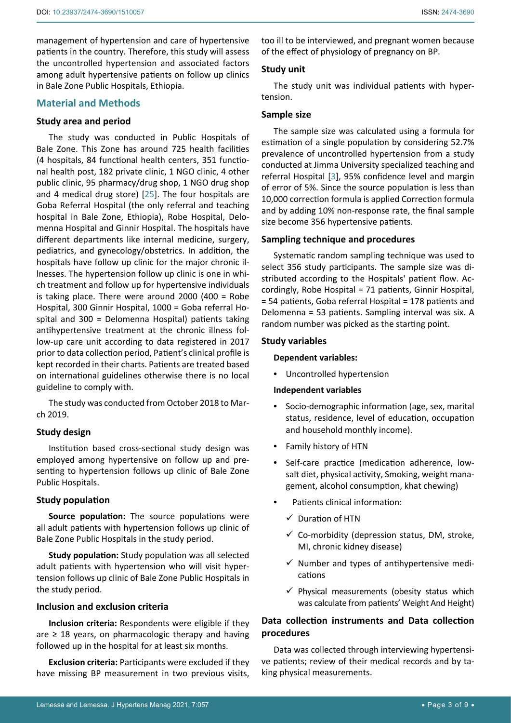# **Material and Methods**

## **Study area and period**

The study was conducted in Public Hospitals of Bale Zone. This Zone has around 725 health facilities (4 hospitals, 84 functional health centers, 351 functional health post, 182 private clinic, 1 NGO clinic, 4 other public clinic, 95 pharmacy/drug shop, 1 NGO drug shop and 4 medical drug store) [[25](#page-8-7)]. The four hospitals are Goba Referral Hospital (the only referral and teaching hospital in Bale Zone, Ethiopia), Robe Hospital, Delomenna Hospital and Ginnir Hospital. The hospitals have different departments like internal medicine, surgery, pediatrics, and gynecology/obstetrics. In addition, the hospitals have follow up clinic for the major chronic illnesses. The hypertension follow up clinic is one in which treatment and follow up for hypertensive individuals is taking place. There were around 2000 (400 = Robe Hospital, 300 Ginnir Hospital, 1000 = Goba referral Hospital and 300 = Delomenna Hospital) patients taking antihypertensive treatment at the chronic illness follow-up care unit according to data registered in 2017 prior to data collection period, Patient's clinical profile is kept recorded in their charts. Patients are treated based on international guidelines otherwise there is no local guideline to comply with.

The study was conducted from October 2018 to March 2019.

## **Study design**

Institution based cross-sectional study design was employed among hypertensive on follow up and presenting to hypertension follows up clinic of Bale Zone Public Hospitals.

#### **Study population**

**Source population:** The source populations were all adult patients with hypertension follows up clinic of Bale Zone Public Hospitals in the study period.

**Study population:** Study population was all selected adult patients with hypertension who will visit hypertension follows up clinic of Bale Zone Public Hospitals in the study period.

## **Inclusion and exclusion criteria**

**Inclusion criteria:** Respondents were eligible if they are  $\geq$  18 years, on pharmacologic therapy and having followed up in the hospital for at least six months.

**Exclusion criteria:** Participants were excluded if they have missing BP measurement in two previous visits,

too ill to be interviewed, and pregnant women because of the effect of physiology of pregnancy on BP.

## **Study unit**

The study unit was individual patients with hypertension.

#### **Sample size**

The sample size was calculated using a formula for estimation of a single population by considering 52.7% prevalence of uncontrolled hypertension from a study conducted at Jimma University specialized teaching and referral Hospital [[3](#page-7-2)], 95% confidence level and margin of error of 5%. Since the source population is less than 10,000 correction formula is applied Correction formula and by adding 10% non-response rate, the final sample size become 356 hypertensive patients.

## **Sampling technique and procedures**

Systematic random sampling technique was used to select 356 study participants. The sample size was distributed according to the Hospitals' patient flow. Accordingly, Robe Hospital = 71 patients, Ginnir Hospital, = 54 patients, Goba referral Hospital = 178 patients and Delomenna = 53 patients. Sampling interval was six. A random number was picked as the starting point.

#### **Study variables**

#### **Dependent variables:**

**•**  Uncontrolled hypertension

# **Independent variables**

- **•**  Socio-demographic information (age, sex, marital status, residence, level of education, occupation and household monthly income).
- **•**  Family history of HTN
- Self-care practice (medication adherence, lowsalt diet, physical activity, Smoking, weight management, alcohol consumption, khat chewing)
- **Patients clinical information:** 
	- $\checkmark$  Duration of HTN
	- $\checkmark$  Co-morbidity (depression status, DM, stroke, MI, chronic kidney disease)
	- $\checkmark$  Number and types of antihypertensive medications
	- $\checkmark$  Physical measurements (obesity status which was calculate from patients' Weight And Height)

# **Data collection instruments and Data collection procedures**

Data was collected through interviewing hypertensive patients; review of their medical records and by taking physical measurements.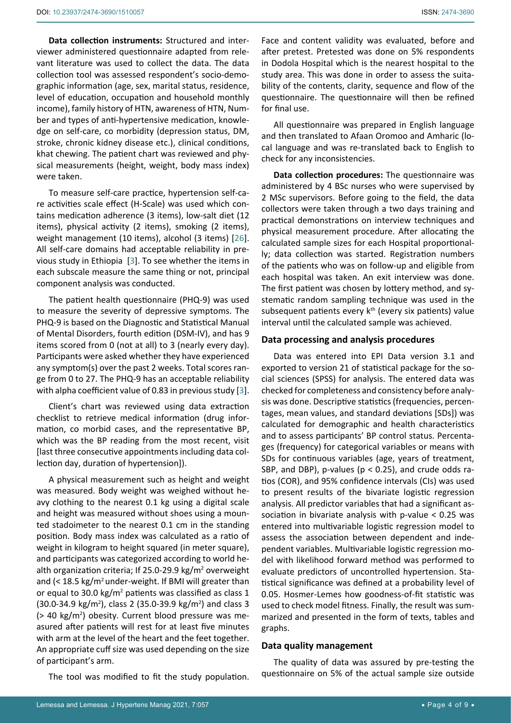**Data collection instruments:** Structured and interviewer administered questionnaire adapted from relevant literature was used to collect the data. The data collection tool was assessed respondent's socio-demographic information (age, sex, marital status, residence, level of education, occupation and household monthly income), family history of HTN, awareness of HTN, Number and types of anti-hypertensive medication, knowledge on self-care, co morbidity (depression status, DM, stroke, chronic kidney disease etc.), clinical conditions, khat chewing. The patient chart was reviewed and physical measurements (height, weight, body mass index) were taken.

To measure self-care practice, hypertension self-care activities scale effect (H-Scale) was used which contains medication adherence (3 items), low-salt diet (12 items), physical activity (2 items), smoking (2 items), weight management (10 items), alcohol (3 items) [[26](#page-8-8)]. All self-care domains had acceptable reliability in previous study in Ethiopia [[3](#page-7-2)]. To see whether the items in each subscale measure the same thing or not, principal component analysis was conducted.

The patient health questionnaire (PHQ-9) was used to measure the severity of depressive symptoms. The PHQ-9 is based on the Diagnostic and Statistical Manual of Mental Disorders, fourth edition (DSM-IV), and has 9 items scored from 0 (not at all) to 3 (nearly every day). Participants were asked whether they have experienced any symptom(s) over the past 2 weeks. Total scores range from 0 to 27. The PHQ-9 has an acceptable reliability with alpha coefficient value of 0.83 in previous study [[3](#page-7-2)].

Client's chart was reviewed using data extraction checklist to retrieve medical information (drug information, co morbid cases, and the representative BP, which was the BP reading from the most recent, visit [last three consecutive appointments including data collection day, duration of hypertension]).

A physical measurement such as height and weight was measured. Body weight was weighed without heavy clothing to the nearest 0.1 kg using a digital scale and height was measured without shoes using a mounted stadoimeter to the nearest 0.1 cm in the standing position. Body mass index was calculated as a ratio of weight in kilogram to height squared (in meter square), and participants was categorized according to world health organization criteria; If 25.0-29.9 kg/m<sup>2</sup> overweight and  $\left($  < 18.5 kg/m<sup>2</sup> under-weight. If BMI will greater than or equal to 30.0 kg/ $m^2$  patients was classified as class 1  $(30.0-34.9 \text{ kg/m}^2)$ , class 2  $(35.0-39.9 \text{ kg/m}^2)$  and class 3 (> 40 kg/m2 ) obesity. Current blood pressure was measured after patients will rest for at least five minutes with arm at the level of the heart and the feet together. An appropriate cuff size was used depending on the size of participant's arm.

The tool was modified to fit the study population.

Face and content validity was evaluated, before and after pretest. Pretested was done on 5% respondents in Dodola Hospital which is the nearest hospital to the study area. This was done in order to assess the suitability of the contents, clarity, sequence and flow of the questionnaire. The questionnaire will then be refined for final use.

All questionnaire was prepared in English language and then translated to Afaan Oromoo and Amharic (local language and was re-translated back to English to check for any inconsistencies.

**Data collection procedures:** The questionnaire was administered by 4 BSc nurses who were supervised by 2 MSc supervisors. Before going to the field, the data collectors were taken through a two days training and practical demonstrations on interview techniques and physical measurement procedure. After allocating the calculated sample sizes for each Hospital proportionally; data collection was started. Registration numbers of the patients who was on follow-up and eligible from each hospital was taken. An exit interview was done. The first patient was chosen by lottery method, and systematic random sampling technique was used in the subsequent patients every k<sup>th</sup> (every six patients) value interval until the calculated sample was achieved.

#### **Data processing and analysis procedures**

Data was entered into EPI Data version 3.1 and exported to version 21 of statistical package for the social sciences (SPSS) for analysis. The entered data was checked for completeness and consistency before analysis was done. Descriptive statistics (frequencies, percentages, mean values, and standard deviations [SDs]) was calculated for demographic and health characteristics and to assess participants' BP control status. Percentages (frequency) for categorical variables or means with SDs for continuous variables (age, years of treatment, SBP, and DBP), p-values ( $p < 0.25$ ), and crude odds ratios (COR), and 95% confidence intervals (CIs) was used to present results of the bivariate logistic regression analysis. All predictor variables that had a significant association in bivariate analysis with p-value < 0.25 was entered into multivariable logistic regression model to assess the association between dependent and independent variables. Multivariable logistic regression model with likelihood forward method was performed to evaluate predictors of uncontrolled hypertension. Statistical significance was defined at a probability level of 0.05. Hosmer-Lemes how goodness-of-fit statistic was used to check model fitness. Finally, the result was summarized and presented in the form of texts, tables and graphs.

#### **Data quality management**

The quality of data was assured by pre-testing the questionnaire on 5% of the actual sample size outside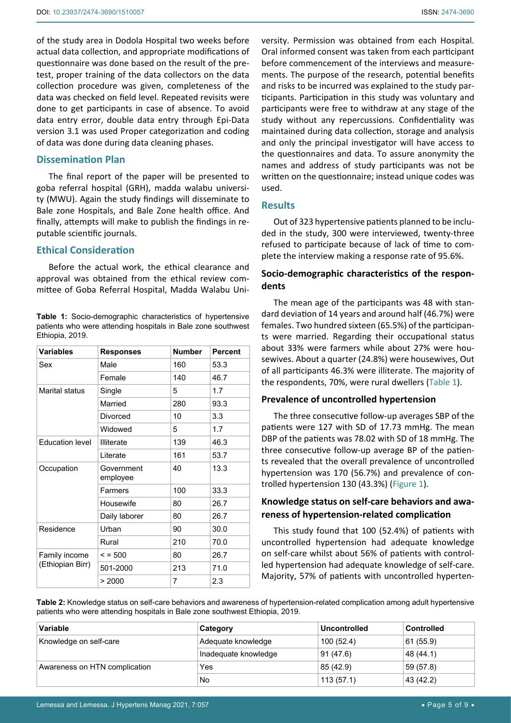of the study area in Dodola Hospital two weeks before actual data collection, and appropriate modifications of questionnaire was done based on the result of the pretest, proper training of the data collectors on the data collection procedure was given, completeness of the data was checked on field level. Repeated revisits were done to get participants in case of absence. To avoid data entry error, double data entry through Epi-Data version 3.1 was used Proper categorization and coding of data was done during data cleaning phases.

# **Dissemination Plan**

The final report of the paper will be presented to goba referral hospital (GRH), madda walabu university (MWU). Again the study findings will disseminate to Bale zone Hospitals, and Bale Zone health office. And finally, attempts will make to publish the findings in reputable scientific journals.

# **Ethical Consideration**

Before the actual work, the ethical clearance and approval was obtained from the ethical review committee of Goba Referral Hospital, Madda Walabu Uni-

<span id="page-4-0"></span>**Table 1:** Socio-demographic characteristics of hypertensive patients who were attending hospitals in Bale zone southwest Ethiopia, 2019.

| <b>Variables</b>                  | <b>Responses</b>       | <b>Number</b> | <b>Percent</b> |
|-----------------------------------|------------------------|---------------|----------------|
| Sex                               | Male<br>160            |               | 53.3           |
|                                   | Female                 | 140           | 46.7           |
| Marital status                    | Single                 | 5             | 1.7            |
|                                   | Married                | 280           | 93.3           |
|                                   | Divorced               | 10            | 3.3            |
|                                   | Widowed                | 5             | 1.7            |
| <b>Education level</b>            | <b>Illiterate</b>      | 139           | 46.3           |
|                                   | I iterate              | 161           | 53.7           |
| Occupation                        | Government<br>employee | 40            | 13.3           |
|                                   | Farmers                | 100           | 33.3           |
|                                   | Housewife              | 80            | 26.7           |
|                                   | Daily laborer          | 80            | 26.7           |
| Residence                         | Urban                  | 90            | 30.0           |
|                                   | Rural                  | 210           | 70.0           |
| Family income<br>(Ethiopian Birr) | $\le$ = 500            | 80            | 26.7           |
|                                   | 501-2000               | 213           | 71.0           |
|                                   | > 2000                 | 7             | 2.3            |

versity. Permission was obtained from each Hospital. Oral informed consent was taken from each participant before commencement of the interviews and measurements. The purpose of the research, potential benefits and risks to be incurred was explained to the study participants. Participation in this study was voluntary and participants were free to withdraw at any stage of the study without any repercussions. Confidentiality was maintained during data collection, storage and analysis and only the principal investigator will have access to the questionnaires and data. To assure anonymity the names and address of study participants was not be written on the questionnaire; instead unique codes was used.

# **Results**

Out of 323 hypertensive patients planned to be included in the study, 300 were interviewed, twenty-three refused to participate because of lack of time to complete the interview making a response rate of 95.6%.

# **Socio-demographic characteristics of the respondents**

The mean age of the participants was 48 with standard deviation of 14 years and around half (46.7%) were females. Two hundred sixteen (65.5%) of the participants were married. Regarding their occupational status about 33% were farmers while about 27% were housewives. About a quarter (24.8%) were housewives, Out of all participants 46.3% were illiterate. The majority of the respondents, 70%, were rural dwellers ([Table 1\)](#page-4-0).

# **Prevalence of uncontrolled hypertension**

The three consecutive follow-up averages SBP of the patients were 127 with SD of 17.73 mmHg. The mean DBP of the patients was 78.02 with SD of 18 mmHg. The three consecutive follow-up average BP of the patients revealed that the overall prevalence of uncontrolled hypertension was 170 (56.7%) and prevalence of controlled hypertension 130 (43.3%) ([Figure 1](#page-5-0)).

# **Knowledge status on self-care behaviors and awareness of hypertension-related complication**

This study found that 100 (52.4%) of patients with uncontrolled hypertension had adequate knowledge on self-care whilst about 56% of patients with controlled hypertension had adequate knowledge of self-care. Majority, 57% of patients with uncontrolled hyperten-

<span id="page-4-1"></span>**Table 2:** Knowledge status on self-care behaviors and awareness of hypertension-related complication among adult hypertensive patients who were attending hospitals in Bale zone southwest Ethiopia, 2019.

| Variable                      | Category             | Uncontrolled | <b>Controlled</b> |
|-------------------------------|----------------------|--------------|-------------------|
| Knowledge on self-care        | Adequate knowledge   | 100(52.4)    | 61 (55.9)         |
|                               | Inadequate knowledge | 91(47.6)     | 48 (44.1)         |
| Awareness on HTN complication | Yes                  | 85 (42.9)    | 59 (57.8)         |
|                               | No                   | 113(57.1)    | 43 (42.2)         |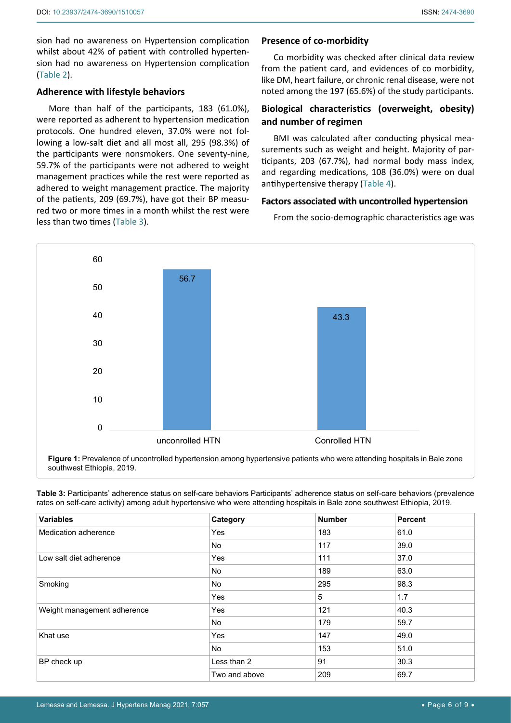sion had no awareness on Hypertension complication whilst about 42% of patient with controlled hypertension had no awareness on Hypertension complication ([Table 2](#page-4-1)).

# **Adherence with lifestyle behaviors**

More than half of the participants, 183 (61.0%), were reported as adherent to hypertension medication protocols. One hundred eleven, 37.0% were not following a low-salt diet and all most all, 295 (98.3%) of the participants were nonsmokers. One seventy-nine, 59.7% of the participants were not adhered to weight management practices while the rest were reported as adhered to weight management practice. The majority of the patients, 209 (69.7%), have got their BP measured two or more times in a month whilst the rest were less than two times ([Table 3](#page-5-1)).

# **Presence of co-morbidity**

Co morbidity was checked after clinical data review from the patient card, and evidences of co morbidity, like DM, heart failure, or chronic renal disease, were not noted among the 197 (65.6%) of the study participants.

# **Biological characteristics (overweight, obesity) and number of regimen**

BMI was calculated after conducting physical measurements such as weight and height. Majority of participants, 203 (67.7%), had normal body mass index, and regarding medications, 108 (36.0%) were on dual antihypertensive therapy ([Table 4\)](#page-6-0).

## **Factors associated with uncontrolled hypertension**

From the socio-demographic characteristics age was

<span id="page-5-0"></span>

**Figure 1:** Prevalence of uncontrolled hypertension among hypertensive patients who were attending hospitals in Bale zone southwest Ethiopia, 2019.

<span id="page-5-1"></span>**Table 3:** Participants' adherence status on self-care behaviors Participants' adherence status on self-care behaviors (prevalence rates on self-care activity) among adult hypertensive who were attending hospitals in Bale zone southwest Ethiopia, 2019.

| <b>Variables</b>            | Category      | <b>Number</b> | <b>Percent</b> |
|-----------------------------|---------------|---------------|----------------|
| Medication adherence        | Yes           | 183           | 61.0           |
|                             | No.           | 117           | 39.0           |
| Low salt diet adherence     | Yes           | 111           | 37.0           |
|                             | <b>No</b>     | 189           | 63.0           |
| Smoking                     | No.           | 295           | 98.3           |
|                             | Yes           | 5             | 1.7            |
| Weight management adherence | Yes           | 121           | 40.3           |
|                             | No.           | 179           | 59.7           |
| Khat use                    | Yes           | 147           | 49.0           |
|                             | <b>No</b>     | 153           | 51.0           |
| BP check up                 | Less than 2   | 91            | 30.3           |
|                             | Two and above | 209           | 69.7           |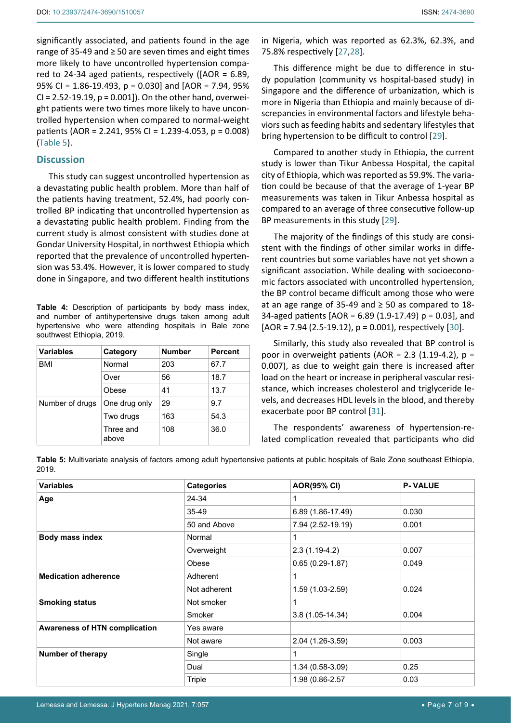significantly associated, and patients found in the age range of 35-49 and ≥ 50 are seven times and eight times more likely to have uncontrolled hypertension compared to 24-34 aged patients, respectively ([AOR = 6.89, 95% CI = 1.86-19.493, p = 0.030] and [AOR = 7.94, 95% CI = 2.52-19.19, p = 0.001]). On the other hand, overweight patients were two times more likely to have uncontrolled hypertension when compared to normal-weight patients (AOR = 2.241, 95% CI = 1.239-4.053, p = 0.008) ([Table 5](#page-6-1)).

# **Discussion**

This study can suggest uncontrolled hypertension as a devastating public health problem. More than half of the patients having treatment, 52.4%, had poorly controlled BP indicating that uncontrolled hypertension as a devastating public health problem. Finding from the current study is almost consistent with studies done at Gondar University Hospital, in northwest Ethiopia which reported that the prevalence of uncontrolled hypertension was 53.4%. However, it is lower compared to study done in Singapore, and two different health institutions

<span id="page-6-0"></span>**Table 4:** Description of participants by body mass index, and number of antihypertensive drugs taken among adult hypertensive who were attending hospitals in Bale zone southwest Ethiopia, 2019.

| <b>Variables</b> | Category           | <b>Number</b> | <b>Percent</b> |
|------------------|--------------------|---------------|----------------|
| <b>BMI</b>       | Normal             | 203           | 67.7           |
|                  | Over               | 56            | 18.7           |
|                  | Obese              | 41            | 13.7           |
| Number of drugs  | One drug only      | 29            | 9.7            |
|                  | Two drugs          | 163           | 54.3           |
|                  | Three and<br>above | 108           | 36.0           |

in Nigeria, which was reported as 62.3%, 62.3%, and 75.8% respectively [[27](#page-8-9),[28](#page-8-10)].

This difference might be due to difference in study population (community vs hospital-based study) in Singapore and the difference of urbanization, which is more in Nigeria than Ethiopia and mainly because of discrepancies in environmental factors and lifestyle behaviors such as feeding habits and sedentary lifestyles that bring hypertension to be difficult to control [[29](#page-8-11)].

Compared to another study in Ethiopia, the current study is lower than Tikur Anbessa Hospital, the capital city of Ethiopia, which was reported as 59.9%. The variation could be because of that the average of 1-year BP measurements was taken in Tikur Anbessa hospital as compared to an average of three consecutive follow-up BP measurements in this study [[29](#page-8-11)].

The majority of the findings of this study are consistent with the findings of other similar works in different countries but some variables have not yet shown a significant association. While dealing with socioeconomic factors associated with uncontrolled hypertension, the BP control became difficult among those who were at an age range of 35-49 and  $\geq$  50 as compared to 18-34-aged patients [AOR = 6.89 (1.9-17.49) p = 0.03], and  $[AOR = 7.94 (2.5-19.12), p = 0.001, respectively [30].$  $[AOR = 7.94 (2.5-19.12), p = 0.001, respectively [30].$  $[AOR = 7.94 (2.5-19.12), p = 0.001, respectively [30].$ 

Similarly, this study also revealed that BP control is poor in overweight patients (AOR = 2.3 (1.19-4.2),  $p =$ 0.007), as due to weight gain there is increased after load on the heart or increase in peripheral vascular resistance, which increases cholesterol and triglyceride levels, and decreases HDL levels in the blood, and thereby exacerbate poor BP control [[31\]](#page-8-13).

The respondents' awareness of hypertension-related complication revealed that participants who did

<span id="page-6-1"></span>

|       |  |  | Table 5: Multivariate analysis of factors among adult hypertensive patients at public hospitals of Bale Zone southeast Ethiopia, |
|-------|--|--|----------------------------------------------------------------------------------------------------------------------------------|
| 2019. |  |  |                                                                                                                                  |

| <b>Variables</b>                     | <b>Categories</b> | <b>AOR(95% CI)</b> | <b>P-VALUE</b> |
|--------------------------------------|-------------------|--------------------|----------------|
| Age                                  | 24-34             |                    |                |
|                                      | 35-49             | 6.89 (1.86-17.49)  | 0.030          |
|                                      | 50 and Above      | 7.94 (2.52-19.19)  | 0.001          |
| Body mass index                      | Normal            |                    |                |
|                                      | Overweight        | $2.3(1.19-4.2)$    | 0.007          |
|                                      | Obese             | $0.65(0.29-1.87)$  | 0.049          |
| <b>Medication adherence</b>          | Adherent          |                    |                |
|                                      | Not adherent      | 1.59 (1.03-2.59)   | 0.024          |
| <b>Smoking status</b>                | Not smoker        | 1                  |                |
|                                      | Smoker            | 3.8 (1.05-14.34)   | 0.004          |
| <b>Awareness of HTN complication</b> | Yes aware         |                    |                |
|                                      | Not aware         | 2.04 (1.26-3.59)   | 0.003          |
| Number of therapy                    | Single            |                    |                |
|                                      | Dual              | 1.34 (0.58-3.09)   | 0.25           |
|                                      | Triple            | 1.98 (0.86-2.57    | 0.03           |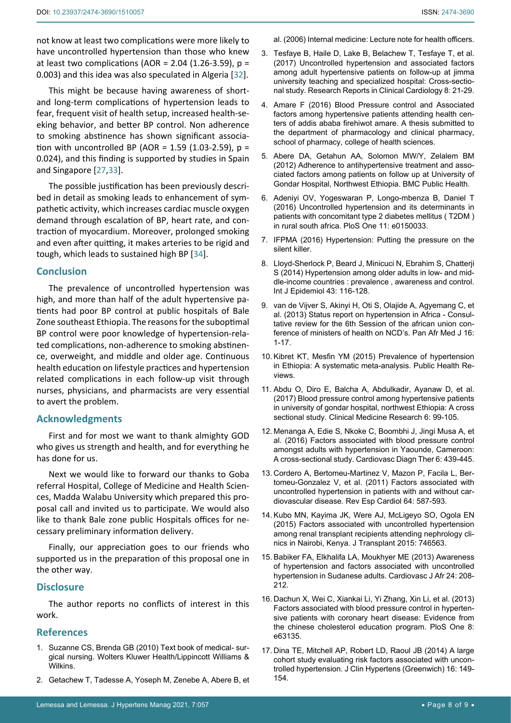not know at least two complications were more likely to have uncontrolled hypertension than those who knew at least two complications (AOR =  $2.04$  (1.26-3.59), p = 0.003) and this idea was also speculated in Algeria [[32\]](#page-8-14).

This might be because having awareness of shortand long-term complications of hypertension leads to fear, frequent visit of health setup, increased health-seeking behavior, and better BP control. Non adherence to smoking abstinence has shown significant association with uncontrolled BP (AOR = 1.59 (1.03-2.59),  $p =$ 0.024), and this finding is supported by studies in Spain and Singapore [[27,](#page-8-9)[33](#page-8-15)].

The possible justification has been previously described in detail as smoking leads to enhancement of sympathetic activity, which increases cardiac muscle oxygen demand through escalation of BP, heart rate, and contraction of myocardium. Moreover, prolonged smoking and even after quitting, it makes arteries to be rigid and tough, which leads to sustained high BP [[34\]](#page-8-16).

## **Conclusion**

The prevalence of uncontrolled hypertension was high, and more than half of the adult hypertensive patients had poor BP control at public hospitals of Bale Zone southeast Ethiopia. The reasons for the suboptimal BP control were poor knowledge of hypertension-related complications, non-adherence to smoking abstinence, overweight, and middle and older age. Continuous health education on lifestyle practices and hypertension related complications in each follow-up visit through nurses, physicians, and pharmacists are very essential to avert the problem.

#### **Acknowledgments**

First and for most we want to thank almighty GOD who gives us strength and health, and for everything he has done for us.

Next we would like to forward our thanks to Goba referral Hospital, College of Medicine and Health Sciences, Madda Walabu University which prepared this proposal call and invited us to participate. We would also like to thank Bale zone public Hospitals offices for necessary preliminary information delivery.

Finally, our appreciation goes to our friends who supported us in the preparation of this proposal one in the other way.

# **Disclosure**

The author reports no conflicts of interest in this work.

## **References**

- <span id="page-7-0"></span>1. Suzanne CS, Brenda GB (2010) Text book of medical- surgical nursing. Wolters Kluwer Health/Lippincott Williams & **Wilkins**
- <span id="page-7-1"></span>2. [Getachew T, Tadesse A, Yoseph M, Zenebe A, Abere B, et](https://www.cartercenter.org/resources/pdfs/health/ephti/library/lecture_notes/health_officers/ln_internal_med_final.pdf)

<span id="page-7-2"></span>[al. \(2006\) Internal medicine: Lecture note for health officers.](https://www.cartercenter.org/resources/pdfs/health/ephti/library/lecture_notes/health_officers/ln_internal_med_final.pdf)

- 3. [Tesfaye B, Haile D, Lake B, Belachew T, Tesfaye T, et al.](https://www.dovepress.com/uncontrolled-hypertension-and-associated-factors-among-adult-hypertens-peer-reviewed-article-RRCC)  [\(2017\) Uncontrolled hypertension and associated factors](https://www.dovepress.com/uncontrolled-hypertension-and-associated-factors-among-adult-hypertens-peer-reviewed-article-RRCC)  [among adult hypertensive patients on follow-up at jimma](https://www.dovepress.com/uncontrolled-hypertension-and-associated-factors-among-adult-hypertens-peer-reviewed-article-RRCC)  [university teaching and specialized hospital: Cross-sectio](https://www.dovepress.com/uncontrolled-hypertension-and-associated-factors-among-adult-hypertens-peer-reviewed-article-RRCC)[nal study. Research Reports in Clinical Cardiology 8: 21-29.](https://www.dovepress.com/uncontrolled-hypertension-and-associated-factors-among-adult-hypertens-peer-reviewed-article-RRCC)
- <span id="page-7-3"></span>4. [Amare F \(2016\) Blood Pressure control and Associated](http://etd.aau.edu.et/bitstream/handle/123456789/867/Firehiwot Amare.pdf?sequence=1&isAllowed=y)  [factors among hypertensive patients attending health cen](http://etd.aau.edu.et/bitstream/handle/123456789/867/Firehiwot Amare.pdf?sequence=1&isAllowed=y)[ters of addis ababa firehiwot amare. A thesis submitted to](http://etd.aau.edu.et/bitstream/handle/123456789/867/Firehiwot Amare.pdf?sequence=1&isAllowed=y)  [the department of pharmacology and clinical pharmacy,](http://etd.aau.edu.et/bitstream/handle/123456789/867/Firehiwot Amare.pdf?sequence=1&isAllowed=y)  [school of pharmacy, college of health sciences.](http://etd.aau.edu.et/bitstream/handle/123456789/867/Firehiwot Amare.pdf?sequence=1&isAllowed=y)
- <span id="page-7-4"></span>5. [Abere DA, Getahun AA, Solomon MW/Y, Zelalem BM](https://bmcpublichealth.biomedcentral.com/articles/10.1186/1471-2458-12-282)  [\(2012\) Adherence to antihypertensive treatment and asso](https://bmcpublichealth.biomedcentral.com/articles/10.1186/1471-2458-12-282)[ciated factors among patients on follow up at University of](https://bmcpublichealth.biomedcentral.com/articles/10.1186/1471-2458-12-282)  [Gondar Hospital, Northwest Ethiopia. BMC Public Health.](https://bmcpublichealth.biomedcentral.com/articles/10.1186/1471-2458-12-282)
- <span id="page-7-5"></span>6. [Adeniyi OV, Yogeswaran P, Longo-mbenza B, Daniel T](https://pubmed.ncbi.nlm.nih.gov/26930050/)  [\(2016\) Uncontrolled hypertension and its determinants in](https://pubmed.ncbi.nlm.nih.gov/26930050/)  [patients with concomitant type 2 diabetes mellitus \( T2DM \)](https://pubmed.ncbi.nlm.nih.gov/26930050/)  [in rural south africa. PloS One 11: e0150033.](https://pubmed.ncbi.nlm.nih.gov/26930050/)
- <span id="page-7-6"></span>7. [IFPMA \(2016\) Hypertension: Putting the pressure on the](https://www.ifpma.org/wp-content/uploads/2016/05/2016-Hypertension-putting-the-pressure-on-the-silent-killer.pdf)  [silent killer.](https://www.ifpma.org/wp-content/uploads/2016/05/2016-Hypertension-putting-the-pressure-on-the-silent-killer.pdf)
- <span id="page-7-7"></span>8. [Lloyd-Sherlock P, Beard J, Minicuci N, Ebrahim S, Chatterji](https://pubmed.ncbi.nlm.nih.gov/24505082/)  [S \(2014\) Hypertension among older adults in low- and mid](https://pubmed.ncbi.nlm.nih.gov/24505082/)dle-income countries [: prevalence , awareness and control.](https://pubmed.ncbi.nlm.nih.gov/24505082/)  [Int J Epidemiol 43: 116-128.](https://pubmed.ncbi.nlm.nih.gov/24505082/)
- <span id="page-7-8"></span>9. [van de Vijver S, Akinyi H, Oti S, Olajide A, Agyemang C, et](https://www.ncbi.nlm.nih.gov/pmc/articles/PMC3932118/)  [al. \(2013\) Status report on hypertension in Africa - Consul](https://www.ncbi.nlm.nih.gov/pmc/articles/PMC3932118/)[tative review for the 6th Session of the african union con](https://www.ncbi.nlm.nih.gov/pmc/articles/PMC3932118/)[ference of ministers of health on NCD's. Pan Afr Med J 16:](https://www.ncbi.nlm.nih.gov/pmc/articles/PMC3932118/)  [1-17.](https://www.ncbi.nlm.nih.gov/pmc/articles/PMC3932118/)
- <span id="page-7-9"></span>10. [Kibret KT, Mesfin YM \(2015\) Prevalence of hypertension](https://publichealthreviews.biomedcentral.com/articles/10.1186/s40985-015-0014-z)  [in Ethiopia: A systematic meta-analysis. Public Health Re](https://publichealthreviews.biomedcentral.com/articles/10.1186/s40985-015-0014-z)[views.](https://publichealthreviews.biomedcentral.com/articles/10.1186/s40985-015-0014-z)
- <span id="page-7-10"></span>11. [Abdu O, Diro E, Balcha A, Abdulkadir, Ayanaw D, et al.](http://www.sciencepublishinggroup.com/journal/paperinfo?journalid=151&doi=10.11648/j.cmr.20170603.17)  [\(2017\) Blood pressure control among hypertensive patients](http://www.sciencepublishinggroup.com/journal/paperinfo?journalid=151&doi=10.11648/j.cmr.20170603.17)  [in university of gondar hospital, northwest Ethiopia: A cross](http://www.sciencepublishinggroup.com/journal/paperinfo?journalid=151&doi=10.11648/j.cmr.20170603.17)  [sectional study. Clinical Medicine Research 6: 99-105.](http://www.sciencepublishinggroup.com/journal/paperinfo?journalid=151&doi=10.11648/j.cmr.20170603.17)
- <span id="page-7-11"></span>12. [Menanga A, Edie S, Nkoke C, Boombhi J, Jingi Musa A, et](https://pubmed.ncbi.nlm.nih.gov/27747167/)  [al. \(2016\) Factors associated with blood pressure control](https://pubmed.ncbi.nlm.nih.gov/27747167/)  [amongst adults with hypertension in Yaounde, Cameroon:](https://pubmed.ncbi.nlm.nih.gov/27747167/)  [A cross-sectional study. Cardiovasc Diagn Ther 6: 439-445.](https://pubmed.ncbi.nlm.nih.gov/27747167/)
- <span id="page-7-12"></span>13. [Cordero A, Bertomeu-Martinez V, Mazon P, Facila L, Ber](https://www.revespcardiol.org/en-factors-associated-with-uncontrolled-hypertension-articulo-S1885585711002891?redirect=true)[tomeu-Gonzalez V, et al. \(2011\) Factors associated with](https://www.revespcardiol.org/en-factors-associated-with-uncontrolled-hypertension-articulo-S1885585711002891?redirect=true)  [uncontrolled hypertension in patients with and without car](https://www.revespcardiol.org/en-factors-associated-with-uncontrolled-hypertension-articulo-S1885585711002891?redirect=true)[diovascular disease. Rev Esp Cardiol 64: 587-593.](https://www.revespcardiol.org/en-factors-associated-with-uncontrolled-hypertension-articulo-S1885585711002891?redirect=true)
- <span id="page-7-15"></span>14. [Kubo MN, Kayima JK, Were AJ, McLigeyo SO, Ogola EN](https://pubmed.ncbi.nlm.nih.gov/26257920/)  [\(2015\) Factors associated with uncontrolled hypertension](https://pubmed.ncbi.nlm.nih.gov/26257920/)  [among renal transplant recipients attending nephrology cli](https://pubmed.ncbi.nlm.nih.gov/26257920/)[nics in Nairobi, Kenya. J Transplant 2015: 746563.](https://pubmed.ncbi.nlm.nih.gov/26257920/)
- <span id="page-7-13"></span>15. [Babiker FA, Elkhalifa LA, Moukhyer ME \(2013\) Awareness](https://www.ncbi.nlm.nih.gov/pmc/articles/PMC3767941/)  [of hypertension and factors associated with uncontrolled](https://www.ncbi.nlm.nih.gov/pmc/articles/PMC3767941/)  [hypertension in Sudanese adults. Cardiovasc J Afr 24: 208-](https://www.ncbi.nlm.nih.gov/pmc/articles/PMC3767941/) [212.](https://www.ncbi.nlm.nih.gov/pmc/articles/PMC3767941/)
- <span id="page-7-14"></span>16. [Dachun X, Wei C, Xiankai Li, Yi Zhang, Xin Li, et al. \(2013\)](https://pubmed.ncbi.nlm.nih.gov/23690989/)  [Factors associated with blood pressure control in hyperten](https://pubmed.ncbi.nlm.nih.gov/23690989/)[sive patients with coronary heart disease: Evidence from](https://pubmed.ncbi.nlm.nih.gov/23690989/)  [the chinese cholesterol education program. PloS One 8:](https://pubmed.ncbi.nlm.nih.gov/23690989/)  [e63135.](https://pubmed.ncbi.nlm.nih.gov/23690989/)
- <span id="page-7-16"></span>17. [Dina TE, Mitchell AP, Robert LD, Raoul JB \(2014\) A large](https://onlinelibrary.wiley.com/doi/pdf/10.1111/jch.12259)  [cohort study evaluating risk factors associated with uncon](https://onlinelibrary.wiley.com/doi/pdf/10.1111/jch.12259)[trolled hypertension. J Clin Hypertens \(Greenwich\) 16: 149-](https://onlinelibrary.wiley.com/doi/pdf/10.1111/jch.12259) [154.](https://onlinelibrary.wiley.com/doi/pdf/10.1111/jch.12259)